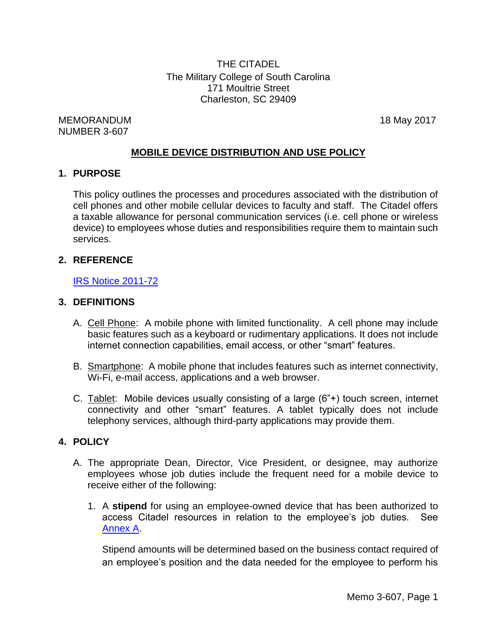THE CITADEL The Military College of South Carolina 171 Moultrie Street Charleston, SC 29409

MEMORANDUM 18 May 2017 NUMBER 3-607

# **MOBILE DEVICE DISTRIBUTION AND USE POLICY**

#### **1. PURPOSE**

This policy outlines the processes and procedures associated with the distribution of cell phones and other mobile cellular devices to faculty and staff. The Citadel offers a taxable allowance for personal communication services (i.e. cell phone or wireless device) to employees whose duties and responsibilities require them to maintain such services.

## **2. REFERENCE**

#### **[IRS Notice 2011-72](http://www.irs.gov/pub/irs-drop/n-11-72.pdf)**

#### **3. DEFINITIONS**

- A. Cell Phone: A mobile phone with limited functionality. A cell phone may include basic features such as a keyboard or rudimentary applications. It does not include internet connection capabilities, email access, or other "smart" features.
- B. Smartphone: A mobile phone that includes features such as internet connectivity, Wi-Fi, e-mail access, applications and a web browser.
- C. Tablet: Mobile devices usually consisting of a large (6"+) touch screen, internet connectivity and other "smart" features. A tablet typically does not include telephony services, although third-party applications may provide them.

## **4. POLICY**

- A. The appropriate Dean, Director, Vice President, or designee, may authorize employees whose job duties include the frequent need for a mobile device to receive either of the following:
	- 1. A **stipend** for using an employee-owned device that has been authorized to access Citadel resources in relation to the employee's job duties. See [Annex](#page-5-0) A.

Stipend amounts will be determined based on the business contact required of an employee's position and the data needed for the employee to perform his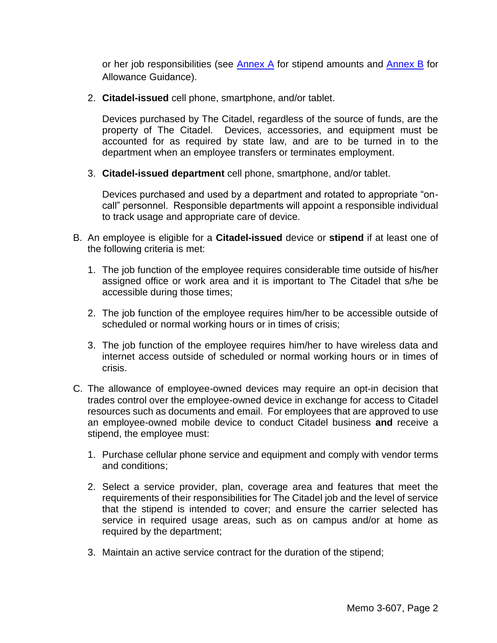or her job responsibilities (see  $\frac{\text{Annex}}{\text{A}}$  for stipend amounts and  $\frac{\text{Annex}}{\text{B}}$  for Allowance Guidance).

2. **Citadel-issued** cell phone, smartphone, and/or tablet.

Devices purchased by The Citadel, regardless of the source of funds, are the property of The Citadel. Devices, accessories, and equipment must be accounted for as required by state law, and are to be turned in to the department when an employee transfers or terminates employment.

3. **Citadel-issued department** cell phone, smartphone, and/or tablet.

Devices purchased and used by a department and rotated to appropriate "oncall" personnel. Responsible departments will appoint a responsible individual to track usage and appropriate care of device.

- B. An employee is eligible for a **Citadel-issued** device or **stipend** if at least one of the following criteria is met:
	- 1. The job function of the employee requires considerable time outside of his/her assigned office or work area and it is important to The Citadel that s/he be accessible during those times;
	- 2. The job function of the employee requires him/her to be accessible outside of scheduled or normal working hours or in times of crisis;
	- 3. The job function of the employee requires him/her to have wireless data and internet access outside of scheduled or normal working hours or in times of crisis.
- C. The allowance of employee-owned devices may require an opt-in decision that trades control over the employee-owned device in exchange for access to Citadel resources such as documents and email. For employees that are approved to use an employee-owned mobile device to conduct Citadel business **and** receive a stipend, the employee must:
	- 1. Purchase cellular phone service and equipment and comply with vendor terms and conditions;
	- 2. Select a service provider, plan, coverage area and features that meet the requirements of their responsibilities for The Citadel job and the level of service that the stipend is intended to cover; and ensure the carrier selected has service in required usage areas, such as on campus and/or at home as required by the department;
	- 3. Maintain an active service contract for the duration of the stipend;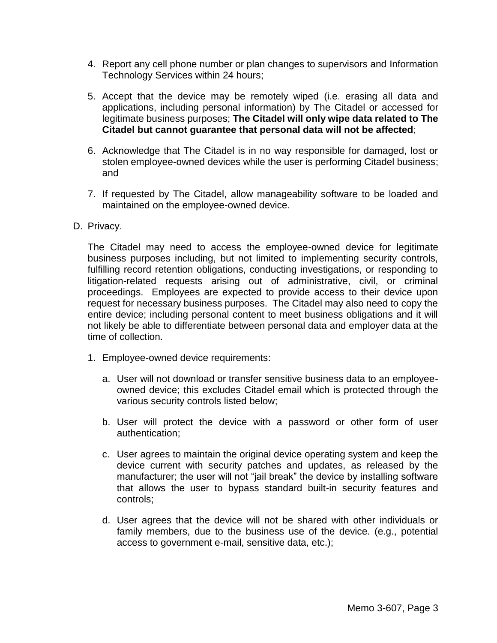- 4. Report any cell phone number or plan changes to supervisors and Information Technology Services within 24 hours;
- 5. Accept that the device may be remotely wiped (i.e. erasing all data and applications, including personal information) by The Citadel or accessed for legitimate business purposes; **The Citadel will only wipe data related to The Citadel but cannot guarantee that personal data will not be affected**;
- 6. Acknowledge that The Citadel is in no way responsible for damaged, lost or stolen employee-owned devices while the user is performing Citadel business; and
- 7. If requested by The Citadel, allow manageability software to be loaded and maintained on the employee-owned device.
- D. Privacy.

The Citadel may need to access the employee-owned device for legitimate business purposes including, but not limited to implementing security controls, fulfilling record retention obligations, conducting investigations, or responding to litigation-related requests arising out of administrative, civil, or criminal proceedings. Employees are expected to provide access to their device upon request for necessary business purposes. The Citadel may also need to copy the entire device; including personal content to meet business obligations and it will not likely be able to differentiate between personal data and employer data at the time of collection.

- 1. Employee-owned device requirements:
	- a. User will not download or transfer sensitive business data to an employeeowned device; this excludes Citadel email which is protected through the various security controls listed below;
	- b. User will protect the device with a password or other form of user authentication;
	- c. User agrees to maintain the original device operating system and keep the device current with security patches and updates, as released by the manufacturer; the user will not "jail break" the device by installing software that allows the user to bypass standard built-in security features and controls;
	- d. User agrees that the device will not be shared with other individuals or family members, due to the business use of the device. (e.g., potential access to government e-mail, sensitive data, etc.);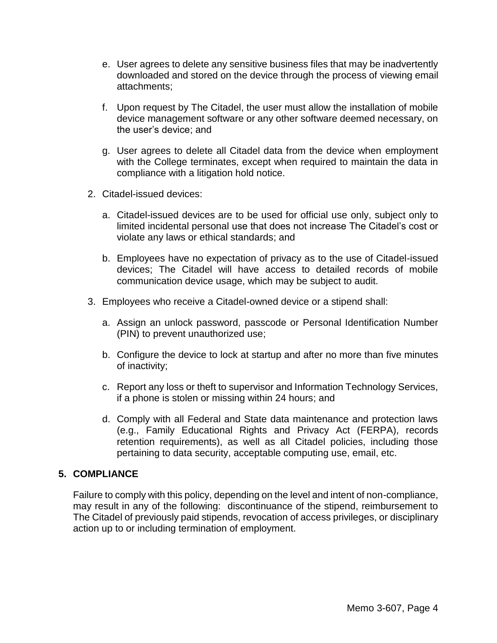- e. User agrees to delete any sensitive business files that may be inadvertently downloaded and stored on the device through the process of viewing email attachments;
- f. Upon request by The Citadel, the user must allow the installation of mobile device management software or any other software deemed necessary, on the user's device; and
- g. User agrees to delete all Citadel data from the device when employment with the College terminates, except when required to maintain the data in compliance with a litigation hold notice.
- 2. Citadel-issued devices:
	- a. Citadel-issued devices are to be used for official use only, subject only to limited incidental personal use that does not increase The Citadel's cost or violate any laws or ethical standards; and
	- b. Employees have no expectation of privacy as to the use of Citadel-issued devices; The Citadel will have access to detailed records of mobile communication device usage, which may be subject to audit.
- 3. Employees who receive a Citadel-owned device or a stipend shall:
	- a. Assign an unlock password, passcode or Personal Identification Number (PIN) to prevent unauthorized use;
	- b. Configure the device to lock at startup and after no more than five minutes of inactivity;
	- c. Report any loss or theft to supervisor and Information Technology Services, if a phone is stolen or missing within 24 hours; and
	- d. Comply with all Federal and State data maintenance and protection laws (e.g., Family Educational Rights and Privacy Act (FERPA), records retention requirements), as well as all Citadel policies, including those pertaining to data security, acceptable computing use, email, etc.

# **5. COMPLIANCE**

Failure to comply with this policy, depending on the level and intent of non-compliance, may result in any of the following: discontinuance of the stipend, reimbursement to The Citadel of previously paid stipends, revocation of access privileges, or disciplinary action up to or including termination of employment.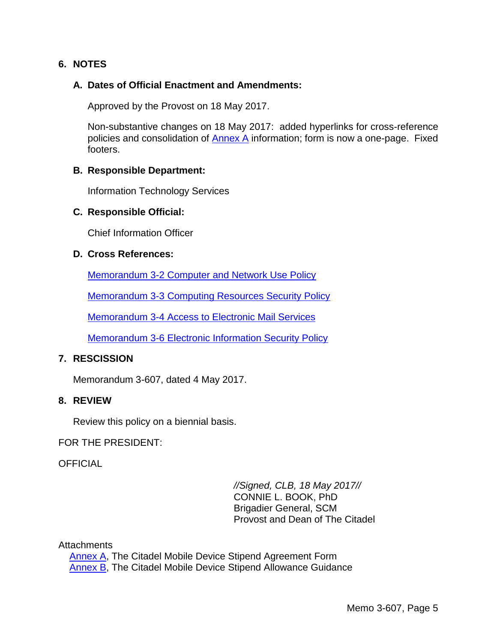# **6. NOTES**

### **A. Dates of Official Enactment and Amendments:**

Approved by the Provost on 18 May 2017.

Non-substantive changes on 18 May 2017: added hyperlinks for cross-reference policies and consolidation of [Annex A](#page-5-0) information; form is now a one-page. Fixed footers.

#### **B. Responsible Department:**

Information Technology Services

#### **C. Responsible Official:**

Chief Information Officer

#### **D. Cross References:**

[Memorandum 3-2 Computer and Network Use Policy](http://www.citadel.edu/root/images/policies/3-602-computer-and-networking-use-policy.pdf)

Memorandum 3-3 [Computing Resources Security](http://www.citadel.edu/root/images/policies/3-603-computing-resources-security-policy.pdf) Policy

[Memorandum 3-4 Access to Electronic Mail Services](http://www.citadel.edu/root/images/policies/3-604-access-to-electronic-mail-services.pdf)

[Memorandum 3-6 Electronic Information Security Policy](http://www.citadel.edu/root/images/policies/3-600-electronic-information-security-policy.pdf)

## **7. RESCISSION**

Memorandum 3-607, dated 4 May 2017.

#### **8. REVIEW**

Review this policy on a biennial basis.

FOR THE PRESIDENT:

**OFFICIAL** 

*//Signed, CLB, 18 May 2017//* CONNIE L. BOOK, PhD Brigadier General, SCM Provost and Dean of The Citadel

#### **Attachments**

[Annex A,](#page-5-0) The Citadel Mobile Device Stipend Agreement Form [Annex B,](#page-6-0) The Citadel Mobile Device Stipend Allowance Guidance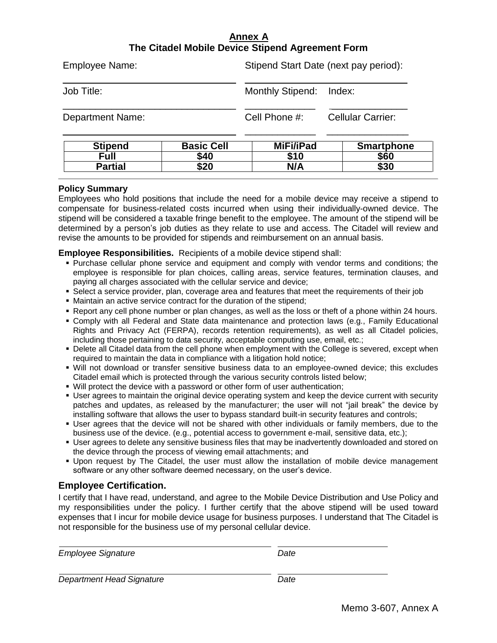## **Annex A The Citadel Mobile Device Stipend Agreement Form**

<span id="page-5-0"></span>

| $P11 = P2$              | $D = -1 - C = 0$ | $M: \Gamma: E \cap \Delta$            | <b>Conception Laborator</b> |
|-------------------------|------------------|---------------------------------------|-----------------------------|
| <b>Department Name:</b> |                  | Cell Phone #:                         | <b>Cellular Carrier:</b>    |
| Job Title:              |                  | Monthly Stipend: Index:               |                             |
| Employee Name:          |                  | Stipend Start Date (next pay period): |                             |

| Stipend        | <b>Basic Cell</b> | MiFi/iPad  | <b>Smartphone</b> |
|----------------|-------------------|------------|-------------------|
| Full           | \$40              | \$10<br>ת. | \$60              |
| <b>Partial</b> | \$20              | N/A        | \$30              |
|                |                   |            |                   |

#### **Policy Summary**

Employees who hold positions that include the need for a mobile device may receive a stipend to compensate for business-related costs incurred when using their individually-owned device. The stipend will be considered a taxable fringe benefit to the employee. The amount of the stipend will be determined by a person's job duties as they relate to use and access. The Citadel will review and revise the amounts to be provided for stipends and reimbursement on an annual basis.

**Employee Responsibilities.** Recipients of a mobile device stipend shall:

- Purchase cellular phone service and equipment and comply with vendor terms and conditions; the employee is responsible for plan choices, calling areas, service features, termination clauses, and paying all charges associated with the cellular service and device;
- Select a service provider, plan, coverage area and features that meet the requirements of their job
- Maintain an active service contract for the duration of the stipend;
- Report any cell phone number or plan changes, as well as the loss or theft of a phone within 24 hours.
- Comply with all Federal and State data maintenance and protection laws (e.g., Family Educational Rights and Privacy Act (FERPA), records retention requirements), as well as all Citadel policies, including those pertaining to data security, acceptable computing use, email, etc.;
- Delete all Citadel data from the cell phone when employment with the College is severed, except when required to maintain the data in compliance with a litigation hold notice;
- Will not download or transfer sensitive business data to an employee-owned device; this excludes Citadel email which is protected through the various security controls listed below;
- Will protect the device with a password or other form of user authentication;
- User agrees to maintain the original device operating system and keep the device current with security patches and updates, as released by the manufacturer; the user will not "jail break" the device by installing software that allows the user to bypass standard built-in security features and controls;
- User agrees that the device will not be shared with other individuals or family members, due to the business use of the device. (e.g., potential access to government e-mail, sensitive data, etc.);
- User agrees to delete any sensitive business files that may be inadvertently downloaded and stored on the device through the process of viewing email attachments; and
- Upon request by The Citadel, the user must allow the installation of mobile device management software or any other software deemed necessary, on the user's device.

#### **Employee Certification.**

I certify that I have read, understand, and agree to the Mobile Device Distribution and Use Policy and my responsibilities under the policy. I further certify that the above stipend will be used toward expenses that I incur for mobile device usage for business purposes. I understand that The Citadel is not responsible for the business use of my personal cellular device.

| <b>Employee Signature</b> | Date |  |
|---------------------------|------|--|
| Department Head Signature | Date |  |